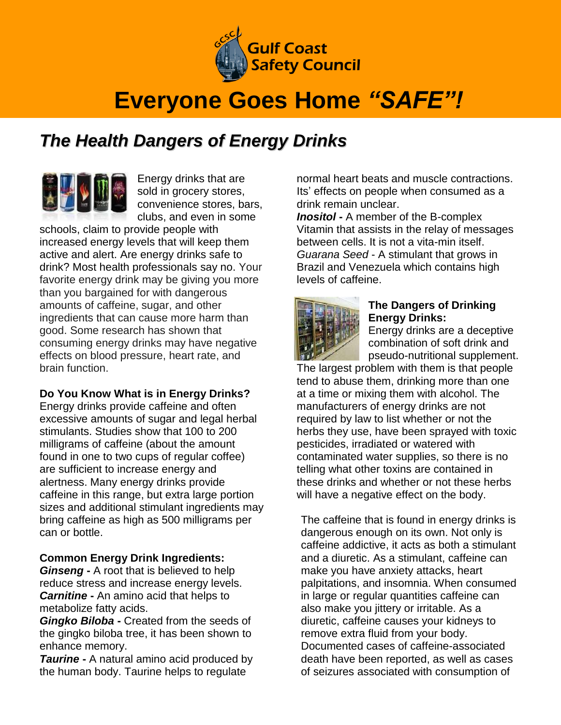

# **Everyone Goes Home** *"SAFE"!*

## *The Health Dangers of Energy Drinks*

Energy drinks that are sold in grocery stores, convenience stores, bars, clubs, and even in some

schools, claim to provide people with increased energy levels that will keep them active and alert. Are energy drinks safe to drink? Most health professionals say no. Your favorite energy drink may be giving you more than you bargained for with dangerous amounts of caffeine, sugar, and other ingredients that can cause more harm than good. Some research has shown that consuming energy drinks may have negative effects on blood pressure, heart rate, and brain function.

### **Do You Know What is in Energy Drinks?**

Energy drinks provide caffeine and often excessive amounts of sugar and legal herbal stimulants. Studies show that 100 to 200 milligrams of caffeine (about the amount found in one to two cups of regular coffee) are sufficient to increase energy and alertness. Many energy drinks provide caffeine in this range, but extra large portion sizes and additional stimulant ingredients may bring caffeine as high as 500 milligrams per can or bottle.

#### **Common Energy Drink Ingredients:**

*Ginseng* **-** A root that is believed to help reduce stress and increase energy levels. *Carnitine* **-** An amino acid that helps to metabolize fatty acids.

*Gingko Biloba* **-** Created from the seeds of the gingko biloba tree, it has been shown to enhance memory.

*Taurine* **-** A natural amino acid produced by the human body. Taurine helps to regulate

normal heart beats and muscle contractions. Its' effects on people when consumed as a drink remain unclear.

*Inositol* **-** A member of the B-complex Vitamin that assists in the relay of messages between cells. It is not a vita-min itself. *Guarana Seed* - A stimulant that grows in Brazil and Venezuela which contains high levels of caffeine.



### **The Dangers of Drinking Energy Drinks:**

Energy drinks are a deceptive combination of soft drink and pseudo-nutritional supplement.

The largest problem with them is that people tend to abuse them, drinking more than one at a time or mixing them with alcohol. The manufacturers of energy drinks are not required by law to list whether or not the herbs they use, have been sprayed with toxic pesticides, irradiated or watered with contaminated water supplies, so there is no telling what other toxins are contained in these drinks and whether or not these herbs will have a negative effect on the body.

The caffeine that is found in energy drinks is dangerous enough on its own. Not only is caffeine addictive, it acts as both a stimulant and a diuretic. As a stimulant, caffeine can make you have anxiety attacks, heart palpitations, and insomnia. When consumed in large or regular quantities caffeine can also make you jittery or irritable. As a diuretic, caffeine causes your kidneys to remove extra fluid from your body. Documented cases of caffeine-associated death have been reported, as well as cases of [seizures](http://health.nytimes.com/health/guides/symptoms/seizures/overview.html?inline=nyt-classifier) associated with consumption of